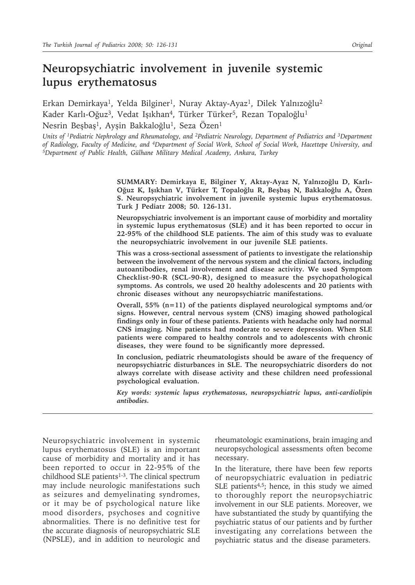# **Neuropsychiatric involvement in juvenile systemic lupus erythematosus**

Erkan Demirkaya<sup>1</sup>, Yelda Bilginer<sup>1</sup>, Nuray Aktay-Ayaz<sup>1</sup>, Dilek Yalnızoğlu<sup>2</sup> Kader Karlı-Oğuz<sup>3</sup>, Vedat Işıkhan<sup>4</sup>, Türker Türker<sup>5</sup>, Rezan Topaloğlu<sup>1</sup> Nesrin Beşbaş<sup>1</sup>, Ayşin Bakkaloğlu<sup>1</sup>, Seza Özen<sup>1</sup>

*Units of <sup>1</sup>Pediatric Nephrology and Rheumatology, and <sup>2</sup>Pediatric Neurology, Department of Pediatrics and <sup>3</sup>Department of Radiology, Faculty of Medicine, and 4Department of Social Work, School of Social Work, Hacettepe University, and 5Department of Public Health, Gülhane Military Medical Academy, Ankara, Turkey*

> **SUMMARY: Demirkaya E, Bilginer Y, Aktay-Ayaz N, Yalnızoğlu D, Karlı-Oğuz K, Işıkhan V, Türker T, Topaloğlu R, Beşbaş N, Bakkaloğlu A, Özen S. Neuropsychiatric involvement in juvenile systemic lupus erythematosus. Turk J Pediatr 2008; 50. 126-131.**

> **Neuropsychiatric involvement is an important cause of morbidity and mortality in systemic lupus erythematosus (SLE) and it has been reported to occur in 22-95% of the childhood SLE patients. The aim of this study was to evaluate the neuropsychiatric involvement in our juvenile SLE patients.**

> **This was a cross-sectional assessment of patients to investigate the relationship between the involvement of the nervous system and the clinical factors, including autoantibodies, renal involvement and disease activity. We used Symptom Checklist-90-R (SCL-90-R), designed to measure the psychopathological symptoms. As controls, we used 20 healthy adolescents and 20 patients with chronic diseases without any neuropsychiatric manifestations.**

> **Overall, 55% (n=11) of the patients displayed neurological symptoms and/or signs. However, central nervous system (CNS) imaging showed pathological findings only in four of these patients. Patients with headache only had normal CNS imaging. Nine patients had moderate to severe depression. When SLE patients were compared to healthy controls and to adolescents with chronic diseases, they were found to be significantly more depressed.**

> **In conclusion, pediatric rheumatologists should be aware of the frequency of neuropsychiatric disturbances in SLE. The neuropsychiatric disorders do not always correlate with disease activity and these children need professional psychological evaluation.**

> *Key words: systemic lupus erythematosus, neuropsychiatric lupus, anti-cardiolipin antibodies.*

Neuropsychiatric involvement in systemic lupus erythematosus (SLE) is an important cause of morbidity and mortality and it has been reported to occur in 22-95% of the childhood SLE patients $1-3$ . The clinical spectrum may include neurologic manifestations such as seizures and demyelinating syndromes, or it may be of psychological nature like mood disorders, psychoses and cognitive abnormalities. There is no definitive test for the accurate diagnosis of neuropsychiatric SLE (NPSLE), and in addition to neurologic and

rheumatologic examinations, brain imaging and neuropsychological assessments often become necessary.

In the literature, there have been few reports of neuropsychiatric evaluation in pediatric SLE patients<sup>4,5</sup>; hence, in this study we aimed to thoroughly report the neuropsychiatric involvement in our SLE patients. Moreover, we have substantiated the study by quantifying the psychiatric status of our patients and by further investigating any correlations between the psychiatric status and the disease parameters.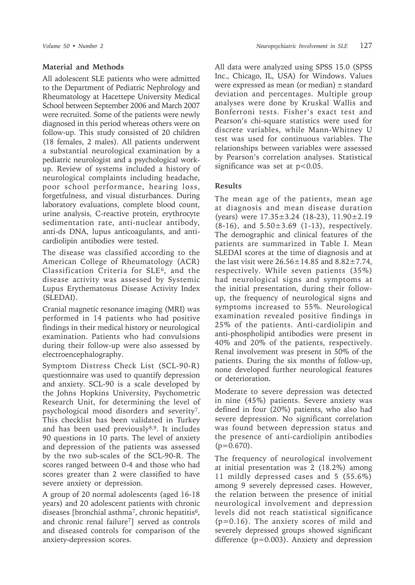## **Material and Methods**

All adolescent SLE patients who were admitted to the Department of Pediatric Nephrology and Rheumatology at Hacettepe University Medical School between September 2006 and March 2007 were recruited. Some of the patients were newly diagnosed in this period whereas others were on follow-up. This study consisted of 20 children (18 females, 2 males). All patients underwent a substantial neurological examination by a pediatric neurologist and a psychological workup. Review of systems included a history of neurological complaints including headache, poor school performance, hearing loss, forgetfulness, and visual disturbances. During laboratory evaluations, complete blood count, urine analysis, C-reactive protein, erythrocyte sedimentation rate, anti-nuclear antibody, anti-ds DNA, lupus anticoagulants, and anticardiolipin antibodies were tested.

The disease was classified according to the American College of Rheumatology (ACR) Classification Criteria for SLE<sup>6</sup>, and the disease activity was assessed by Systemic Lupus Erythematosus Disease Activity Index (SLEDAI).

Cranial magnetic resonance imaging (MRI) was performed in 14 patients who had positive findings in their medical history or neurological examination. Patients who had convulsions during their follow-up were also assessed by electroencephalography.

Symptom Distress Check List (SCL-90-R) questionnaire was used to quantify depression and anxiety. SCL-90 is a scale developed by the Johns Hopkins University, Psychometric Research Unit, for determining the level of psychological mood disorders and severity7. This checklist has been validated in Turkey and has been used previously<sup>8,9</sup>. It includes 90 questions in 10 parts. The level of anxiety and depression of the patients was assessed by the two sub-scales of the SCL-90-R. The scores ranged between 0-4 and those who had scores greater than 2 were classified to have severe anxiety or depression.

A group of 20 normal adolescents (aged 16-18 years) and 20 adolescent patients with chronic diseases [bronchial asthma<sup>7</sup>, chronic hepatitis<sup>6</sup>, and chronic renal failure<sup>7</sup>] served as controls and diseased controls for comparison of the anxiety-depression scores.

All data were analyzed using SPSS 15.0 (SPSS Inc., Chicago, IL, USA) for Windows. Values were expressed as mean (or median)  $\pm$  standard deviation and percentages. Multiple group analyses were done by Kruskal Wallis and Bonferroni tests. Fisher's exact test and Pearson's chi-square statistics were used for discrete variables, while Mann-Whitney U test was used for continuous variables. The relationships between variables were assessed by Pearson's correlation analyses. Statistical significance was set at  $p < 0.05$ .

## **Results**

The mean age of the patients, mean age at diagnosis and mean disease duration (years) were 17.35±3.24 (18-23), 11.90±2.19  $(8-16)$ , and  $5.50 \pm 3.69$   $(1-13)$ , respectively. The demographic and clinical features of the patients are summarized in Table I. Mean SLEDAI scores at the time of diagnosis and at the last visit were  $26.56 \pm 14.85$  and  $8.82 \pm 7.74$ , respectively. While seven patients (35%) had neurological signs and symptoms at the initial presentation, during their followup, the frequency of neurological signs and symptoms increased to 55%. Neurological examination revealed positive findings in 25% of the patients. Anti-cardiolipin and anti-phospholipid antibodies were present in 40% and 20% of the patients, respectively. Renal involvement was present in 50% of the patients. During the six months of follow-up, none developed further neurological features or deterioration.

Moderate to severe depression was detected in nine (45%) patients. Severe anxiety was defined in four (20%) patients, who also had severe depression. No significant correlation was found between depression status and the presence of anti-cardiolipin antibodies  $(p=0.670)$ .

The frequency of neurological involvement at initial presentation was 2 (18.2%) among 11 mildly depressed cases and 5 (55.6%) among 9 severely depressed cases. However, the relation between the presence of initial neurological involvement and depression levels did not reach statistical significance (p=0.16). The anxiety scores of mild and severely depressed groups showed significant difference (p=0.003). Anxiety and depression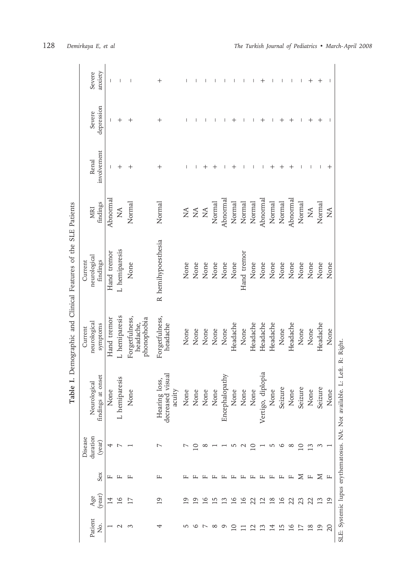| Severe                                                                                    | anxiety              |             |                 |                                            | $^+$                                        |                              |                                |                                |                 |                |                 |               |                           |                      |          |         |                 |                 |              | $^+$     |                                |
|-------------------------------------------------------------------------------------------|----------------------|-------------|-----------------|--------------------------------------------|---------------------------------------------|------------------------------|--------------------------------|--------------------------------|-----------------|----------------|-----------------|---------------|---------------------------|----------------------|----------|---------|-----------------|-----------------|--------------|----------|--------------------------------|
| Severe                                                                                    | depression           |             | $\,{}^+$        | ┿                                          |                                             |                              |                                |                                |                 |                |                 |               |                           |                      |          |         |                 |                 |              |          |                                |
| Renal                                                                                     | involvement          |             | $\,{}^+$        | $^+$                                       | $\,+\,$                                     |                              |                                |                                |                 |                |                 |               |                           |                      |          |         |                 |                 |              |          | ┿                              |
| MRI                                                                                       | findings             | Abnormal    | $\mathbb{A}$    | Normal                                     | Normal                                      | $\stackrel{\triangle}{\geq}$ | $\stackrel{\triangle}{\Sigma}$ | $\stackrel{\triangle}{\simeq}$ | Normal          | Abnormal       | Normal          | Normal        | Normal                    | Abnormal             | Normal   | Normal  | Abnormal        | Normal          | $\mathbb{A}$ | Normal   | $\stackrel{\triangle}{\rm NA}$ |
| Table I. Demographic and Clinical Features of the SLE Patients<br>neurological<br>Current | findings             | Hand tremor | L hemiparesis   | None                                       | R hemihypoesthesia                          | None                         | None                           | None                           | None            | None           | None            | Hand tremor   | None                      | None                 | None     | None    | None            | None            | None         | None     | None                           |
| neurological<br>Current                                                                   | symptoms             | Hand tremor | L hemiparesis   | Forgetfulness,<br>phonophobia<br>headache, | Forgetfulness,<br>headache                  | None                         | None                           | None                           | None            | None           | Headache        | None          | Headache                  | Headache             | Headache | None    | Headache        | None            | None         | Headache | None                           |
| Neurological                                                                              | at onset<br>findings | None        | L hemiparesis   | None                                       | Hearing loss,<br>decreased visual<br>acuity | None                         | None                           | None                           | None            | Encephalopathy | None            | None          | None                      | diplopia<br>Vertigo, | None     | Seizure | None            | Seizure         | None         | Seizure  | None                           |
| duration<br>Disease                                                                       | (year)               | 4           | r               |                                            | Ņ                                           |                              |                                |                                |                 |                |                 |               | $\Xi$                     |                      | w        | 9       | $\infty$        | $\overline{10}$ | 13           | S        |                                |
|                                                                                           | Sex                  | щ           | Щ               | щ                                          | щ                                           |                              |                                |                                |                 |                |                 |               |                           | Щ                    | Щ        | Щ       | щ               | Σ               | щ            | Σ        | щ                              |
| Age                                                                                       | (year)               | 4           | $\overline{16}$ | $\overline{17}$                            | $\overline{19}$                             |                              | $\tilde{\Theta}$               | $\Xi$                          | $\overline{15}$ | 13             | $\overline{16}$ | $\frac{6}{1}$ | 22                        | $\overline{12}$      | $^{8}$   | 16      | 22              | 23              | 22           | 13       | 19                             |
| Patient                                                                                   | Σó,                  |             | $\sim$          | 3                                          | 4                                           | 5                            | 9                              | $\overline{ }$                 | $\infty$        | Q              | $\Xi$           |               | $\overline{\mathfrak{c}}$ | $\mathfrak{S}$       | ᅼ        | ني      | $\overline{16}$ | 17              | $^{18}$      | 19       | $\Omega$                       |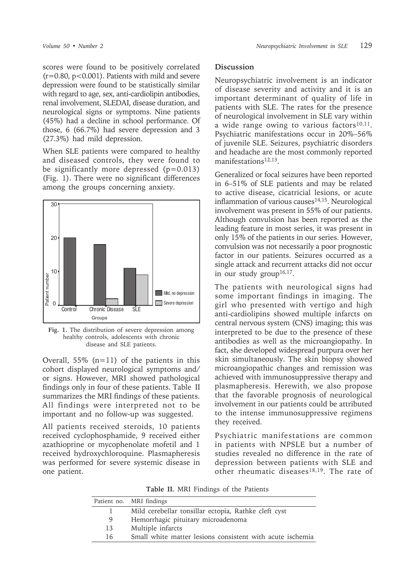scores were found to be positively correlated  $(r=0.80, p<0.001)$ . Patients with mild and severe depression were found to be statistically similar with regard to age, sex, anti-cardiolipin antibodies, renal involvement, SLEDAI, disease duration, and neurological signs or symptoms. Nine patients (45%) had a decline in school performance. Of those, 6 (66.7%) had severe depression and 3 (27.3%) had mild depression.

When SLE patients were compared to healthy and diseased controls, they were found to be significantly more depressed  $(p=0.013)$ (Fig. 1). There were no significant differences among the groups concerning anxiety.



**Fig. 1.** The distribution of severe depression among healthy controls, adolescents with chronic disease and SLE patients.

Overall,  $55\%$  (n=11) of the patients in this cohort displayed neurological symptoms and/ or signs. However, MRI showed pathological findings only in four of these patients. Table II summarizes the MRI findings of these patients. All findings were interpreted not to be important and no follow-up was suggested.

All patients received steroids, 10 patients received cyclophosphamide, 9 received either azathioprine or mycophenolate mofetil and 1 received hydroxychloroquine. Plasmapheresis was performed for severe systemic disease in one patient.

#### **Discussion**

Neuropsychiatric involvement is an indicator of disease severity and activity and it is an important determinant of quality of life in patients with SLE. The rates for the presence of neurological involvement in SLE vary within a wide range owing to various factors $10,11$ . Psychiatric manifestations occur in 20%–56% of juvenile SLE. Seizures, psychiatric disorders and headache are the most commonly reported manifestations12,13.

Generalized or focal seizures have been reported in 6–51% of SLE patients and may be related to active disease, cicatricial lesions, or acute inflammation of various causes<sup>14,15</sup>. Neurological involvement was present in 55% of our patients. Although convulsion has been reported as the leading feature in most series, it was present in only 15% of the patients in our series. However, convulsion was not necessarily a poor prognostic factor in our patients. Seizures occurred as a single attack and recurrent attacks did not occur in our study group<sup>16,17</sup>.

The patients with neurological signs had some important findings in imaging. The girl who presented with vertigo and high anti-cardiolipins showed multiple infarcts on central nervous system (CNS) imaging; this was interpreted to be due to the presence of these antibodies as well as the microangiopathy. In fact, she developed widespread purpura over her skin simultaneously. The skin biopsy showed microangiopathic changes and remission was achieved with immunosuppressive therapy and plasmapheresis. Herewith, we also propose that the favorable prognosis of neurological involvement in our patients could be attributed to the intense immunosuppressive regimens they received.

Psychiatric manifestations are common in patients with NPSLE but a number of studies revealed no difference in the rate of depression between patients with SLE and other rheumatic diseases<sup>18,19</sup>. The rate of

**Table II.** MRI Findings of the Patients

| Patient no. MRI findings                                  |
|-----------------------------------------------------------|
| Mild cerebellar tonsillar ectopia, Rathke cleft cyst      |
| Hemorrhagic pituitary microadenoma                        |
| Multiple infarcts                                         |
| Small white matter lesions consistent with acute ischemia |
|                                                           |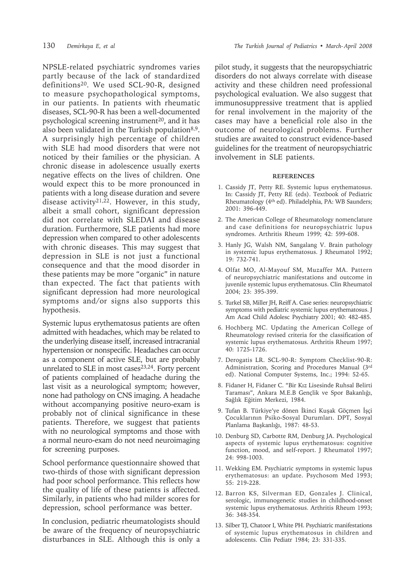NPSLE-related psychiatric syndromes varies partly because of the lack of standardized definitions20. We used SCL-90-R, designed to measure psychopathological symptoms, in our patients. In patients with rheumatic diseases, SCL-90-R has been a well-documented psychological screening instrument<sup>20</sup>, and it has also been validated in the Turkish population $8.9$ . A surprisingly high percentage of children with SLE had mood disorders that were not noticed by their families or the physician. A chronic disease in adolescence usually exerts negative effects on the lives of children. One would expect this to be more pronounced in patients with a long disease duration and severe disease activity<sup>21,22</sup>. However, in this study, albeit a small cohort, significant depression did not correlate with SLEDAI and disease duration. Furthermore, SLE patients had more depression when compared to other adolescents with chronic diseases. This may suggest that depression in SLE is not just a functional consequence and that the mood disorder in these patients may be more "organic" in nature than expected. The fact that patients with significant depression had more neurological symptoms and/or signs also supports this hypothesis.

Systemic lupus erythematosus patients are often admitted with headaches, which may be related to the underlying disease itself, increased intracranial hypertension or nonspecific. Headaches can occur as a component of active SLE, but are probably unrelated to SLE in most cases $23,24$ . Forty percent of patients complained of headache during the last visit as a neurological symptom; however, none had pathology on CNS imaging. A headache without accompanying positive neuro-exam is probably not of clinical significance in these patients. Therefore, we suggest that patients with no neurological symptoms and those with a normal neuro-exam do not need neuroimaging for screening purposes.

School performance questionnaire showed that two-thirds of those with significant depression had poor school performance. This reflects how the quality of life of these patients is affected. Similarly, in patients who had milder scores for depression, school performance was better.

In conclusion, pediatric rheumatologists should be aware of the frequency of neuropsychiatric disturbances in SLE. Although this is only a

pilot study, it suggests that the neuropsychiatric disorders do not always correlate with disease activity and these children need professional psychological evaluation. We also suggest that immunosuppressive treatment that is applied for renal involvement in the majority of the cases may have a beneficial role also in the outcome of neurological problems. Further studies are awaited to construct evidence-based guidelines for the treatment of neuropsychiatric involvement in SLE patients.

#### **REFERENCES**

- 1. Cassidy JT, Petty RE. Systemic lupus erythematosus. In: Cassidy JT, Petty RE (eds). Textbook of Pediatric Rheumatology (4th ed). Philadelphia, PA: WB Saunders; 2001: 396-449.
- 2. The American College of Rheumatology nomenclature and case definitions for neuropsychiatric lupus syndromes. Arthritis Rheum 1999; 42: 599-608.
- 3. Hanly JG, Walsh NM, Sangalang V. Brain pathology in systemic lupus erythematosus. J Rheumatol 1992; 19: 732-741.
- 4. Olfat MO, Al-Mayouf SM, Muzaffer MA. Pattern of neuropsychiatric manifestations and outcome in juvenile systemic lupus erythematosus. Clin Rheumatol 2004; 23: 395-399.
- 5. Turkel SB, Miller JH, Reiff A. Case series: neuropsychiatric symptoms with pediatric systemic lupus erythematosus. J Am Acad Child Adolesc Psychiatry 2001; 40: 482-485.
- 6. Hochberg MC. Updating the American College of Rheumatology revised criteria for the classification of systemic lupus erythematosus. Arthritis Rheum 1997; 40: 1725-1726.
- 7. Derogatis LR. SCL-90-R: Symptom Checklist-90-R: Administration, Scoring and Procedures Manual (3rd ed). National Computer Systems, Inc.; 1994: 52-65.
- 8. Fidaner H, Fidaner C. "Bir Kız Lisesinde Ruhsal Belirti Taraması", Ankara M.E.B Gençlik ve Spor Bakanlığı, Sağlık Eğitim Merkezi, 1984.
- 9. Tufan B. Türkiye'ye dönen İkinci Kuşak Göçmen İşçi Çocuklarının Psiko-Sosyal Durumları. DPT, Sosyal Planlama Başkanlığı, 1987: 48-53.
- 10. Denburg SD, Carbotte RM, Denburg JA. Psychological aspects of systemic lupus erythematosus: cognitive function, mood, and self-report. J Rheumatol 1997; 24: 998-1003.
- 11. Wekking EM. Psychiatric symptoms in systemic lupus erythematosus: an update. Psychosom Med 1993; 55: 219-228.
- 12. Barron KS, Silverman ED, Gonzales J. Clinical, serologic, immunogenetic studies in childhood-onset systemic lupus erythematosus. Arthritis Rheum 1993; 36: 348-354.
- 13. Silber TJ, Chatoor I, White PH. Psychiatric manifestations of systemic lupus erythematosus in children and adolescents. Clin Pediatr 1984; 23: 331-335.